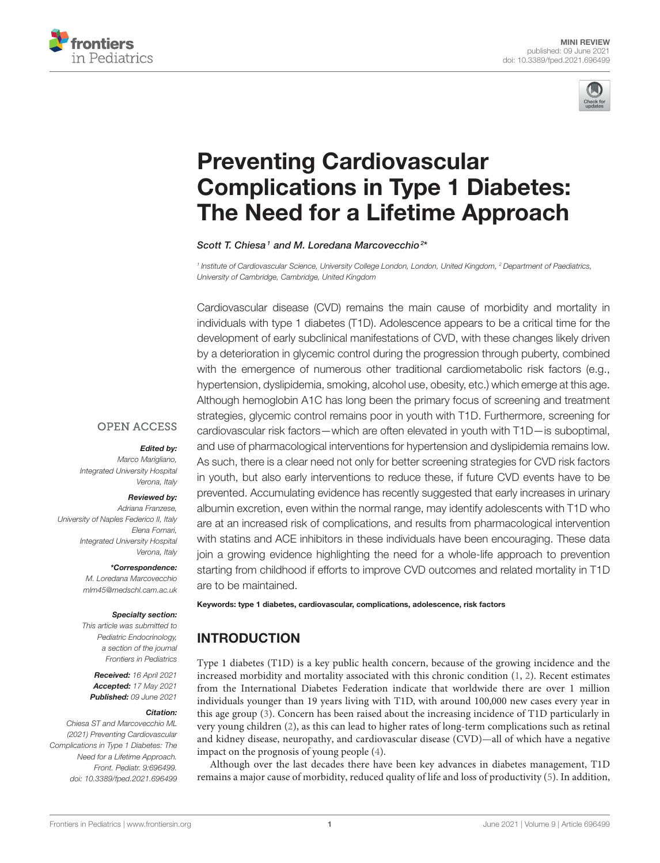



# Preventing Cardiovascular [Complications in Type 1 Diabetes:](https://www.frontiersin.org/articles/10.3389/fped.2021.696499/full) The Need for a Lifetime Approach

Scott T. Chiesa<sup>1</sup> and M. Loredana Marcovecchio<sup>24</sup>

*1 Institute of Cardiovascular Science, University College London, London, United Kingdom, <sup>2</sup> Department of Paediatrics, University of Cambridge, Cambridge, United Kingdom*

Cardiovascular disease (CVD) remains the main cause of morbidity and mortality in individuals with type 1 diabetes (T1D). Adolescence appears to be a critical time for the development of early subclinical manifestations of CVD, with these changes likely driven by a deterioration in glycemic control during the progression through puberty, combined with the emergence of numerous other traditional cardiometabolic risk factors (e.g., hypertension, dyslipidemia, smoking, alcohol use, obesity, etc.) which emerge at this age. Although hemoglobin A1C has long been the primary focus of screening and treatment strategies, glycemic control remains poor in youth with T1D. Furthermore, screening for cardiovascular risk factors—which are often elevated in youth with T1D—is suboptimal, and use of pharmacological interventions for hypertension and dyslipidemia remains low. As such, there is a clear need not only for better screening strategies for CVD risk factors in youth, but also early interventions to reduce these, if future CVD events have to be prevented. Accumulating evidence has recently suggested that early increases in urinary albumin excretion, even within the normal range, may identify adolescents with T1D who are at an increased risk of complications, and results from pharmacological intervention with statins and ACE inhibitors in these individuals have been encouraging. These data join a growing evidence highlighting the need for a whole-life approach to prevention starting from childhood if efforts to improve CVD outcomes and related mortality in T1D are to be maintained.

Keywords: type 1 diabetes, cardiovascular, complications, adolescence, risk factors

# INTRODUCTION

Type 1 diabetes (T1D) is a key public health concern, because of the growing incidence and the increased morbidity and mortality associated with this chronic condition [\(1,](#page-5-0) [2\)](#page-5-1). Recent estimates from the International Diabetes Federation indicate that worldwide there are over 1 million individuals younger than 19 years living with T1D, with around 100,000 new cases every year in this age group [\(3\)](#page-5-2). Concern has been raised about the increasing incidence of T1D particularly in very young children [\(2\)](#page-5-1), as this can lead to higher rates of long-term complications such as retinal and kidney disease, neuropathy, and cardiovascular disease (CVD)—all of which have a negative impact on the prognosis of young people [\(4\)](#page-5-3).

Although over the last decades there have been key advances in diabetes management, T1D remains a major cause of morbidity, reduced quality of life and loss of productivity [\(5\)](#page-5-4). In addition,

#### **OPEN ACCESS**

#### Edited by:

*Marco Marigliano, Integrated University Hospital Verona, Italy*

#### Reviewed by:

*Adriana Franzese, University of Naples Federico II, Italy Elena Fornari, Integrated University Hospital Verona, Italy*

\*Correspondence:

*M. Loredana Marcovecchio [mlm45@medschl.cam.ac.uk](mailto:mlm45@medschl.cam.ac.uk)*

#### Specialty section:

*This article was submitted to Pediatric Endocrinology, a section of the journal Frontiers in Pediatrics*

Received: *16 April 2021* Accepted: *17 May 2021* Published: *09 June 2021*

#### Citation:

*Chiesa ST and Marcovecchio ML (2021) Preventing Cardiovascular Complications in Type 1 Diabetes: The Need for a Lifetime Approach. Front. Pediatr. 9:696499. doi: [10.3389/fped.2021.696499](https://doi.org/10.3389/fped.2021.696499)*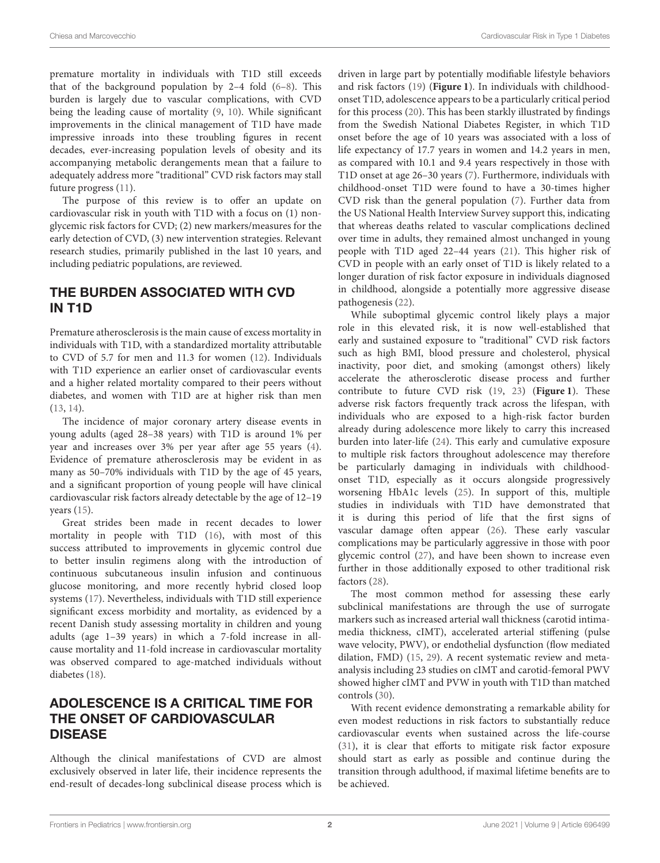premature mortality in individuals with T1D still exceeds that of the background population by 2–4 fold  $(6-8)$ . This burden is largely due to vascular complications, with CVD being the leading cause of mortality [\(9,](#page-5-7) [10\)](#page-5-8). While significant improvements in the clinical management of T1D have made impressive inroads into these troubling figures in recent decades, ever-increasing population levels of obesity and its accompanying metabolic derangements mean that a failure to adequately address more "traditional" CVD risk factors may stall future progress [\(11\)](#page-5-9).

The purpose of this review is to offer an update on cardiovascular risk in youth with T1D with a focus on (1) nonglycemic risk factors for CVD; (2) new markers/measures for the early detection of CVD, (3) new intervention strategies. Relevant research studies, primarily published in the last 10 years, and including pediatric populations, are reviewed.

#### THE BURDEN ASSOCIATED WITH CVD IN T1D

Premature atherosclerosis is the main cause of excess mortality in individuals with T1D, with a standardized mortality attributable to CVD of 5.7 for men and 11.3 for women [\(12\)](#page-5-10). Individuals with T1D experience an earlier onset of cardiovascular events and a higher related mortality compared to their peers without diabetes, and women with T1D are at higher risk than men [\(13,](#page-5-11) [14\)](#page-5-12).

The incidence of major coronary artery disease events in young adults (aged 28–38 years) with T1D is around 1% per year and increases over 3% per year after age 55 years [\(4\)](#page-5-3). Evidence of premature atherosclerosis may be evident in as many as 50–70% individuals with T1D by the age of 45 years, and a significant proportion of young people will have clinical cardiovascular risk factors already detectable by the age of 12–19 years [\(15\)](#page-5-13).

Great strides been made in recent decades to lower mortality in people with T1D [\(16\)](#page-5-14), with most of this success attributed to improvements in glycemic control due to better insulin regimens along with the introduction of continuous subcutaneous insulin infusion and continuous glucose monitoring, and more recently hybrid closed loop systems [\(17\)](#page-5-15). Nevertheless, individuals with T1D still experience significant excess morbidity and mortality, as evidenced by a recent Danish study assessing mortality in children and young adults (age 1–39 years) in which a 7-fold increase in allcause mortality and 11-fold increase in cardiovascular mortality was observed compared to age-matched individuals without diabetes [\(18\)](#page-5-16).

## ADOLESCENCE IS A CRITICAL TIME FOR THE ONSET OF CARDIOVASCULAR DISEASE

Although the clinical manifestations of CVD are almost exclusively observed in later life, their incidence represents the end-result of decades-long subclinical disease process which is driven in large part by potentially modifiable lifestyle behaviors and risk factors [\(19\)](#page-5-17) (**[Figure 1](#page-2-0)**). In individuals with childhoodonset T1D, adolescence appears to be a particularly critical period for this process [\(20\)](#page-5-18). This has been starkly illustrated by findings from the Swedish National Diabetes Register, in which T1D onset before the age of 10 years was associated with a loss of life expectancy of 17.7 years in women and 14.2 years in men, as compared with 10.1 and 9.4 years respectively in those with T1D onset at age 26–30 years [\(7\)](#page-5-19). Furthermore, individuals with childhood-onset T1D were found to have a 30-times higher CVD risk than the general population [\(7\)](#page-5-19). Further data from the US National Health Interview Survey support this, indicating that whereas deaths related to vascular complications declined over time in adults, they remained almost unchanged in young people with T1D aged 22–44 years [\(21\)](#page-5-20). This higher risk of CVD in people with an early onset of T1D is likely related to a longer duration of risk factor exposure in individuals diagnosed in childhood, alongside a potentially more aggressive disease pathogenesis [\(22\)](#page-5-21).

While suboptimal glycemic control likely plays a major role in this elevated risk, it is now well-established that early and sustained exposure to "traditional" CVD risk factors such as high BMI, blood pressure and cholesterol, physical inactivity, poor diet, and smoking (amongst others) likely accelerate the atherosclerotic disease process and further contribute to future CVD risk [\(19,](#page-5-17) [23\)](#page-5-22) (**[Figure 1](#page-2-0)**). These adverse risk factors frequently track across the lifespan, with individuals who are exposed to a high-risk factor burden already during adolescence more likely to carry this increased burden into later-life [\(24\)](#page-5-23). This early and cumulative exposure to multiple risk factors throughout adolescence may therefore be particularly damaging in individuals with childhoodonset T1D, especially as it occurs alongside progressively worsening HbA1c levels [\(25\)](#page-5-24). In support of this, multiple studies in individuals with T1D have demonstrated that it is during this period of life that the first signs of vascular damage often appear [\(26\)](#page-5-25). These early vascular complications may be particularly aggressive in those with poor glycemic control [\(27\)](#page-5-26), and have been shown to increase even further in those additionally exposed to other traditional risk factors [\(28\)](#page-5-27).

The most common method for assessing these early subclinical manifestations are through the use of surrogate markers such as increased arterial wall thickness (carotid intimamedia thickness, cIMT), accelerated arterial stiffening (pulse wave velocity, PWV), or endothelial dysfunction (flow mediated dilation, FMD) [\(15,](#page-5-13) [29\)](#page-5-28). A recent systematic review and metaanalysis including 23 studies on cIMT and carotid-femoral PWV showed higher cIMT and PVW in youth with T1D than matched controls [\(30\)](#page-5-29).

With recent evidence demonstrating a remarkable ability for even modest reductions in risk factors to substantially reduce cardiovascular events when sustained across the life-course [\(31\)](#page-6-0), it is clear that efforts to mitigate risk factor exposure should start as early as possible and continue during the transition through adulthood, if maximal lifetime benefits are to be achieved.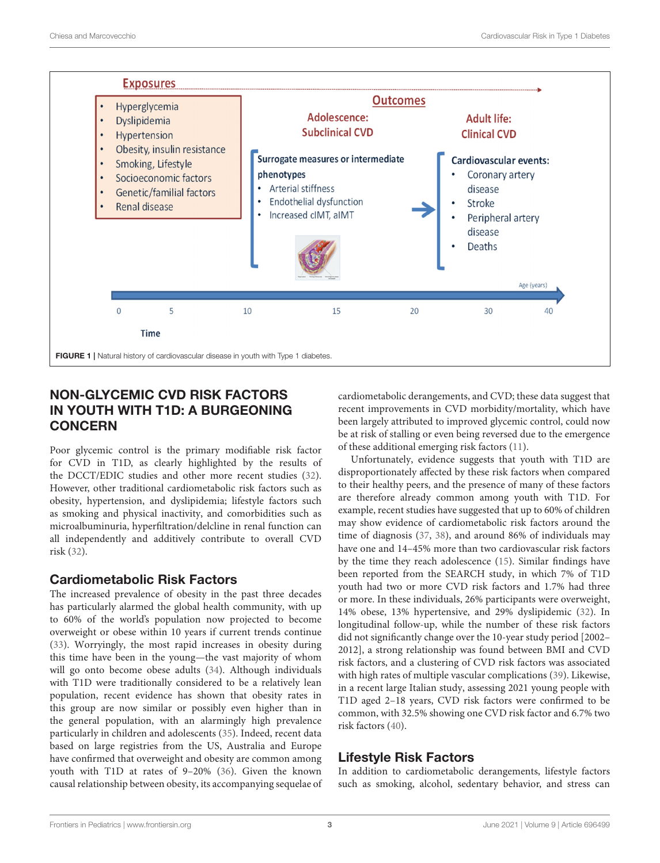

## <span id="page-2-0"></span>NON-GLYCEMIC CVD RISK FACTORS IN YOUTH WITH T1D: A BURGEONING **CONCERN**

Poor glycemic control is the primary modifiable risk factor for CVD in T1D, as clearly highlighted by the results of the DCCT/EDIC studies and other more recent studies [\(32\)](#page-6-1). However, other traditional cardiometabolic risk factors such as obesity, hypertension, and dyslipidemia; lifestyle factors such as smoking and physical inactivity, and comorbidities such as microalbuminuria, hyperfiltration/delcline in renal function can all independently and additively contribute to overall CVD risk [\(32\)](#page-6-1).

## Cardiometabolic Risk Factors

The increased prevalence of obesity in the past three decades has particularly alarmed the global health community, with up to 60% of the world's population now projected to become overweight or obese within 10 years if current trends continue [\(33\)](#page-6-2). Worryingly, the most rapid increases in obesity during this time have been in the young—the vast majority of whom will go onto become obese adults [\(34\)](#page-6-3). Although individuals with T1D were traditionally considered to be a relatively lean population, recent evidence has shown that obesity rates in this group are now similar or possibly even higher than in the general population, with an alarmingly high prevalence particularly in children and adolescents [\(35\)](#page-6-4). Indeed, recent data based on large registries from the US, Australia and Europe have confirmed that overweight and obesity are common among youth with T1D at rates of 9–20% [\(36\)](#page-6-5). Given the known causal relationship between obesity, its accompanying sequelae of cardiometabolic derangements, and CVD; these data suggest that recent improvements in CVD morbidity/mortality, which have been largely attributed to improved glycemic control, could now be at risk of stalling or even being reversed due to the emergence of these additional emerging risk factors [\(11\)](#page-5-9).

Unfortunately, evidence suggests that youth with T1D are disproportionately affected by these risk factors when compared to their healthy peers, and the presence of many of these factors are therefore already common among youth with T1D. For example, recent studies have suggested that up to 60% of children may show evidence of cardiometabolic risk factors around the time of diagnosis [\(37,](#page-6-6) [38\)](#page-6-7), and around 86% of individuals may have one and 14–45% more than two cardiovascular risk factors by the time they reach adolescence [\(15\)](#page-5-13). Similar findings have been reported from the SEARCH study, in which 7% of T1D youth had two or more CVD risk factors and 1.7% had three or more. In these individuals, 26% participants were overweight, 14% obese, 13% hypertensive, and 29% dyslipidemic [\(32\)](#page-6-1). In longitudinal follow-up, while the number of these risk factors did not significantly change over the 10-year study period [2002– 2012], a strong relationship was found between BMI and CVD risk factors, and a clustering of CVD risk factors was associated with high rates of multiple vascular complications [\(39\)](#page-6-8). Likewise, in a recent large Italian study, assessing 2021 young people with T1D aged 2–18 years, CVD risk factors were confirmed to be common, with 32.5% showing one CVD risk factor and 6.7% two risk factors [\(40\)](#page-6-9).

# Lifestyle Risk Factors

In addition to cardiometabolic derangements, lifestyle factors such as smoking, alcohol, sedentary behavior, and stress can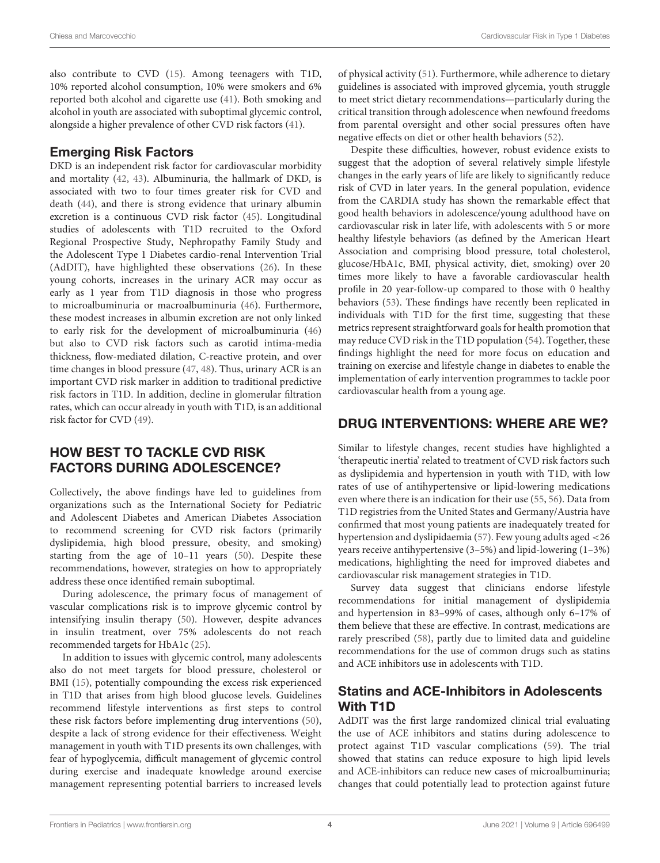also contribute to CVD [\(15\)](#page-5-13). Among teenagers with T1D, 10% reported alcohol consumption, 10% were smokers and 6% reported both alcohol and cigarette use [\(41\)](#page-6-10). Both smoking and alcohol in youth are associated with suboptimal glycemic control, alongside a higher prevalence of other CVD risk factors [\(41\)](#page-6-10).

## Emerging Risk Factors

DKD is an independent risk factor for cardiovascular morbidity and mortality [\(42,](#page-6-11) [43\)](#page-6-12). Albuminuria, the hallmark of DKD, is associated with two to four times greater risk for CVD and death [\(44\)](#page-6-13), and there is strong evidence that urinary albumin excretion is a continuous CVD risk factor [\(45\)](#page-6-14). Longitudinal studies of adolescents with T1D recruited to the Oxford Regional Prospective Study, Nephropathy Family Study and the Adolescent Type 1 Diabetes cardio-renal Intervention Trial (AdDIT), have highlighted these observations [\(26\)](#page-5-25). In these young cohorts, increases in the urinary ACR may occur as early as 1 year from T1D diagnosis in those who progress to microalbuminuria or macroalbuminuria [\(46\)](#page-6-15). Furthermore, these modest increases in albumin excretion are not only linked to early risk for the development of microalbuminuria [\(46\)](#page-6-15) but also to CVD risk factors such as carotid intima-media thickness, flow-mediated dilation, C-reactive protein, and over time changes in blood pressure [\(47,](#page-6-16) [48\)](#page-6-17). Thus, urinary ACR is an important CVD risk marker in addition to traditional predictive risk factors in T1D. In addition, decline in glomerular filtration rates, which can occur already in youth with T1D, is an additional risk factor for CVD [\(49\)](#page-6-18).

## HOW BEST TO TACKLE CVD RISK FACTORS DURING ADOLESCENCE?

Collectively, the above findings have led to guidelines from organizations such as the International Society for Pediatric and Adolescent Diabetes and American Diabetes Association to recommend screening for CVD risk factors (primarily dyslipidemia, high blood pressure, obesity, and smoking) starting from the age of 10–11 years [\(50\)](#page-6-19). Despite these recommendations, however, strategies on how to appropriately address these once identified remain suboptimal.

During adolescence, the primary focus of management of vascular complications risk is to improve glycemic control by intensifying insulin therapy [\(50\)](#page-6-19). However, despite advances in insulin treatment, over 75% adolescents do not reach recommended targets for HbA1c [\(25\)](#page-5-24).

In addition to issues with glycemic control, many adolescents also do not meet targets for blood pressure, cholesterol or BMI [\(15\)](#page-5-13), potentially compounding the excess risk experienced in T1D that arises from high blood glucose levels. Guidelines recommend lifestyle interventions as first steps to control these risk factors before implementing drug interventions [\(50\)](#page-6-19), despite a lack of strong evidence for their effectiveness. Weight management in youth with T1D presents its own challenges, with fear of hypoglycemia, difficult management of glycemic control during exercise and inadequate knowledge around exercise management representing potential barriers to increased levels of physical activity [\(51\)](#page-6-20). Furthermore, while adherence to dietary guidelines is associated with improved glycemia, youth struggle to meet strict dietary recommendations—particularly during the critical transition through adolescence when newfound freedoms from parental oversight and other social pressures often have negative effects on diet or other health behaviors [\(52\)](#page-6-21).

Despite these difficulties, however, robust evidence exists to suggest that the adoption of several relatively simple lifestyle changes in the early years of life are likely to significantly reduce risk of CVD in later years. In the general population, evidence from the CARDIA study has shown the remarkable effect that good health behaviors in adolescence/young adulthood have on cardiovascular risk in later life, with adolescents with 5 or more healthy lifestyle behaviors (as defined by the American Heart Association and comprising blood pressure, total cholesterol, glucose/HbA1c, BMI, physical activity, diet, smoking) over 20 times more likely to have a favorable cardiovascular health profile in 20 year-follow-up compared to those with 0 healthy behaviors [\(53\)](#page-6-22). These findings have recently been replicated in individuals with T1D for the first time, suggesting that these metrics represent straightforward goals for health promotion that may reduce CVD risk in the T1D population [\(54\)](#page-6-23). Together, these findings highlight the need for more focus on education and training on exercise and lifestyle change in diabetes to enable the implementation of early intervention programmes to tackle poor cardiovascular health from a young age.

## DRUG INTERVENTIONS: WHERE ARE WE?

Similar to lifestyle changes, recent studies have highlighted a 'therapeutic inertia' related to treatment of CVD risk factors such as dyslipidemia and hypertension in youth with T1D, with low rates of use of antihypertensive or lipid-lowering medications even where there is an indication for their use [\(55,](#page-6-24) [56\)](#page-6-25). Data from T1D registries from the United States and Germany/Austria have confirmed that most young patients are inadequately treated for hypertension and dyslipidaemia [\(57\)](#page-6-26). Few young adults aged <26 years receive antihypertensive (3–5%) and lipid-lowering (1–3%) medications, highlighting the need for improved diabetes and cardiovascular risk management strategies in T1D.

Survey data suggest that clinicians endorse lifestyle recommendations for initial management of dyslipidemia and hypertension in 83–99% of cases, although only 6–17% of them believe that these are effective. In contrast, medications are rarely prescribed [\(58\)](#page-6-27), partly due to limited data and guideline recommendations for the use of common drugs such as statins and ACE inhibitors use in adolescents with T1D.

## Statins and ACE-Inhibitors in Adolescents With T1D

AdDIT was the first large randomized clinical trial evaluating the use of ACE inhibitors and statins during adolescence to protect against T1D vascular complications [\(59\)](#page-6-28). The trial showed that statins can reduce exposure to high lipid levels and ACE-inhibitors can reduce new cases of microalbuminuria; changes that could potentially lead to protection against future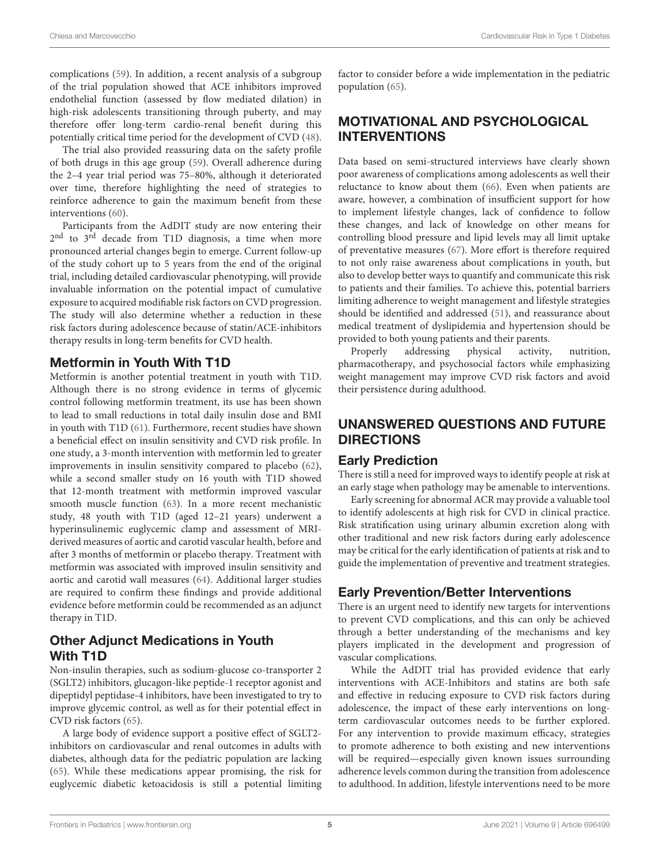complications [\(59\)](#page-6-28). In addition, a recent analysis of a subgroup of the trial population showed that ACE inhibitors improved endothelial function (assessed by flow mediated dilation) in high-risk adolescents transitioning through puberty, and may therefore offer long-term cardio-renal benefit during this potentially critical time period for the development of CVD [\(48\)](#page-6-17).

The trial also provided reassuring data on the safety profile of both drugs in this age group [\(59\)](#page-6-28). Overall adherence during the 2–4 year trial period was 75–80%, although it deteriorated over time, therefore highlighting the need of strategies to reinforce adherence to gain the maximum benefit from these interventions [\(60\)](#page-6-29).

Participants from the AdDIT study are now entering their 2<sup>nd</sup> to 3<sup>rd</sup> decade from T1D diagnosis, a time when more pronounced arterial changes begin to emerge. Current follow-up of the study cohort up to 5 years from the end of the original trial, including detailed cardiovascular phenotyping, will provide invaluable information on the potential impact of cumulative exposure to acquired modifiable risk factors on CVD progression. The study will also determine whether a reduction in these risk factors during adolescence because of statin/ACE-inhibitors therapy results in long-term benefits for CVD health.

#### Metformin in Youth With T1D

Metformin is another potential treatment in youth with T1D. Although there is no strong evidence in terms of glycemic control following metformin treatment, its use has been shown to lead to small reductions in total daily insulin dose and BMI in youth with T1D [\(61\)](#page-6-30). Furthermore, recent studies have shown a beneficial effect on insulin sensitivity and CVD risk profile. In one study, a 3-month intervention with metformin led to greater improvements in insulin sensitivity compared to placebo [\(62\)](#page-6-31), while a second smaller study on 16 youth with T1D showed that 12-month treatment with metformin improved vascular smooth muscle function [\(63\)](#page-6-32). In a more recent mechanistic study, 48 youth with T1D (aged 12–21 years) underwent a hyperinsulinemic euglycemic clamp and assessment of MRIderived measures of aortic and carotid vascular health, before and after 3 months of metformin or placebo therapy. Treatment with metformin was associated with improved insulin sensitivity and aortic and carotid wall measures [\(64\)](#page-7-0). Additional larger studies are required to confirm these findings and provide additional evidence before metformin could be recommended as an adjunct therapy in T1D.

## Other Adjunct Medications in Youth With T1D

Non-insulin therapies, such as sodium-glucose co-transporter 2 (SGLT2) inhibitors, glucagon-like peptide-1 receptor agonist and dipeptidyl peptidase-4 inhibitors, have been investigated to try to improve glycemic control, as well as for their potential effect in CVD risk factors [\(65\)](#page-7-1).

A large body of evidence support a positive effect of SGLT2 inhibitors on cardiovascular and renal outcomes in adults with diabetes, although data for the pediatric population are lacking [\(65\)](#page-7-1). While these medications appear promising, the risk for euglycemic diabetic ketoacidosis is still a potential limiting factor to consider before a wide implementation in the pediatric population [\(65\)](#page-7-1).

# MOTIVATIONAL AND PSYCHOLOGICAL INTERVENTIONS

Data based on semi-structured interviews have clearly shown poor awareness of complications among adolescents as well their reluctance to know about them [\(66\)](#page-7-2). Even when patients are aware, however, a combination of insufficient support for how to implement lifestyle changes, lack of confidence to follow these changes, and lack of knowledge on other means for controlling blood pressure and lipid levels may all limit uptake of preventative measures [\(67\)](#page-7-3). More effort is therefore required to not only raise awareness about complications in youth, but also to develop better ways to quantify and communicate this risk to patients and their families. To achieve this, potential barriers limiting adherence to weight management and lifestyle strategies should be identified and addressed [\(51\)](#page-6-20), and reassurance about medical treatment of dyslipidemia and hypertension should be

provided to both young patients and their parents.<br>Properly addressing physical activity Properly addressing physical activity, nutrition, pharmacotherapy, and psychosocial factors while emphasizing weight management may improve CVD risk factors and avoid their persistence during adulthood.

# UNANSWERED QUESTIONS AND FUTURE DIRECTIONS

# Early Prediction

There is still a need for improved ways to identify people at risk at an early stage when pathology may be amenable to interventions.

Early screening for abnormal ACR may provide a valuable tool to identify adolescents at high risk for CVD in clinical practice. Risk stratification using urinary albumin excretion along with other traditional and new risk factors during early adolescence may be critical for the early identification of patients at risk and to guide the implementation of preventive and treatment strategies.

# Early Prevention/Better Interventions

There is an urgent need to identify new targets for interventions to prevent CVD complications, and this can only be achieved through a better understanding of the mechanisms and key players implicated in the development and progression of vascular complications.

While the AdDIT trial has provided evidence that early interventions with ACE-Inhibitors and statins are both safe and effective in reducing exposure to CVD risk factors during adolescence, the impact of these early interventions on longterm cardiovascular outcomes needs to be further explored. For any intervention to provide maximum efficacy, strategies to promote adherence to both existing and new interventions will be required—especially given known issues surrounding adherence levels common during the transition from adolescence to adulthood. In addition, lifestyle interventions need to be more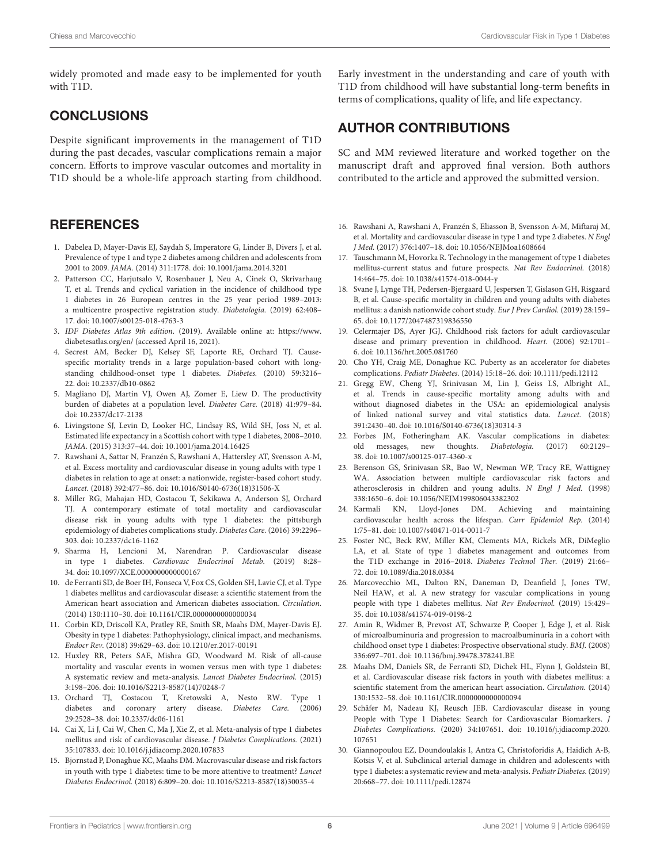widely promoted and made easy to be implemented for youth with T1D.

#### **CONCLUSIONS**

Despite significant improvements in the management of T1D during the past decades, vascular complications remain a major concern. Efforts to improve vascular outcomes and mortality in T1D should be a whole-life approach starting from childhood.

#### **REFERENCES**

- <span id="page-5-0"></span>1. Dabelea D, Mayer-Davis EJ, Saydah S, Imperatore G, Linder B, Divers J, et al. Prevalence of type 1 and type 2 diabetes among children and adolescents from 2001 to 2009. JAMA. (2014) 311:1778. doi: [10.1001/jama.2014.3201](https://doi.org/10.1001/jama.2014.3201)
- <span id="page-5-1"></span>2. Patterson CC, Harjutsalo V, Rosenbauer J, Neu A, Cinek O, Skrivarhaug T, et al. Trends and cyclical variation in the incidence of childhood type 1 diabetes in 26 European centres in the 25 year period 1989–2013: a multicentre prospective registration study. Diabetologia. (2019) 62:408– 17. doi: [10.1007/s00125-018-4763-3](https://doi.org/10.1007/s00125-018-4763-3)
- <span id="page-5-2"></span>3. IDF Diabetes Atlas 9th edition. (2019). Available online at: [https://www.](https://www.diabetesatlas.org/en/) [diabetesatlas.org/en/](https://www.diabetesatlas.org/en/) (accessed April 16, 2021).
- <span id="page-5-3"></span>4. Secrest AM, Becker DJ, Kelsey SF, Laporte RE, Orchard TJ. Causespecific mortality trends in a large population-based cohort with longstanding childhood-onset type 1 diabetes. Diabetes. (2010) 59:3216– 22. doi: [10.2337/db10-0862](https://doi.org/10.2337/db10-0862)
- <span id="page-5-4"></span>5. Magliano DJ, Martin VJ, Owen AJ, Zomer E, Liew D. The productivity burden of diabetes at a population level. Diabetes Care. (2018) 41:979–84. doi: [10.2337/dc17-2138](https://doi.org/10.2337/dc17-2138)
- <span id="page-5-5"></span>6. Livingstone SJ, Levin D, Looker HC, Lindsay RS, Wild SH, Joss N, et al. Estimated life expectancy in a Scottish cohort with type 1 diabetes, 2008–2010. JAMA. (2015) 313:37–44. doi: [10.1001/jama.2014.16425](https://doi.org/10.1001/jama.2014.16425)
- <span id="page-5-19"></span>7. Rawshani A, Sattar N, Franzén S, Rawshani A, Hattersley AT, Svensson A-M, et al. Excess mortality and cardiovascular disease in young adults with type 1 diabetes in relation to age at onset: a nationwide, register-based cohort study. Lancet. (2018) 392:477–86. doi: [10.1016/S0140-6736\(18\)31506-X](https://doi.org/10.1016/S0140-6736(18)31506-X)
- <span id="page-5-6"></span>8. Miller RG, Mahajan HD, Costacou T, Sekikawa A, Anderson SJ, Orchard TJ. A contemporary estimate of total mortality and cardiovascular disease risk in young adults with type 1 diabetes: the pittsburgh epidemiology of diabetes complications study. Diabetes Care. (2016) 39:2296– 303. doi: [10.2337/dc16-1162](https://doi.org/10.2337/dc16-1162)
- <span id="page-5-7"></span>9. Sharma H, Lencioni M, Narendran P. Cardiovascular disease in type 1 diabetes. Cardiovasc Endocrinol Metab. (2019) 8:28– 34. doi: [10.1097/XCE.0000000000000167](https://doi.org/10.1097/XCE.0000000000000167)
- <span id="page-5-8"></span>10. de Ferranti SD, de Boer IH, Fonseca V, Fox CS, Golden SH, Lavie CJ, et al. Type 1 diabetes mellitus and cardiovascular disease: a scientific statement from the American heart association and American diabetes association. Circulation. (2014) 130:1110–30. doi: [10.1161/CIR.0000000000000034](https://doi.org/10.1161/CIR.0000000000000034)
- <span id="page-5-9"></span>11. Corbin KD, Driscoll KA, Pratley RE, Smith SR, Maahs DM, Mayer-Davis EJ. Obesity in type 1 diabetes: Pathophysiology, clinical impact, and mechanisms. Endocr Rev. (2018) 39:629–63. doi: [10.1210/er.2017-00191](https://doi.org/10.1210/er.2017-00191)
- <span id="page-5-10"></span>12. Huxley RR, Peters SAE, Mishra GD, Woodward M. Risk of all-cause mortality and vascular events in women versus men with type 1 diabetes: A systematic review and meta-analysis. Lancet Diabetes Endocrinol. (2015) 3:198–206. doi: [10.1016/S2213-8587\(14\)70248-7](https://doi.org/10.1016/S2213-8587(14)70248-7)
- <span id="page-5-11"></span>13. Orchard TJ, Costacou T, Kretowski A, Nesto RW. Type 1 diabetes and coronary artery disease. Diabetes Care. (2006) 29:2528–38. doi: [10.2337/dc06-1161](https://doi.org/10.2337/dc06-1161)
- <span id="page-5-12"></span>14. Cai X, Li J, Cai W, Chen C, Ma J, Xie Z, et al. Meta-analysis of type 1 diabetes mellitus and risk of cardiovascular disease. J Diabetes Complications. (2021) 35:107833. doi: [10.1016/j.jdiacomp.2020.107833](https://doi.org/10.1016/j.jdiacomp.2020.107833)
- <span id="page-5-13"></span>15. Bjornstad P, Donaghue KC, Maahs DM. Macrovascular disease and risk factors in youth with type 1 diabetes: time to be more attentive to treatment? Lancet Diabetes Endocrinol. (2018) 6:809–20. doi: [10.1016/S2213-8587\(18\)30035-4](https://doi.org/10.1016/S2213-8587(18)30035-4)

Early investment in the understanding and care of youth with T1D from childhood will have substantial long-term benefits in terms of complications, quality of life, and life expectancy.

#### AUTHOR CONTRIBUTIONS

SC and MM reviewed literature and worked together on the manuscript draft and approved final version. Both authors contributed to the article and approved the submitted version.

- <span id="page-5-14"></span>16. Rawshani A, Rawshani A, Franzén S, Eliasson B, Svensson A-M, Miftaraj M, et al. Mortality and cardiovascular disease in type 1 and type 2 diabetes. N Engl J Med. (2017) 376:1407–18. doi: [10.1056/NEJMoa1608664](https://doi.org/10.1056/NEJMoa1608664)
- <span id="page-5-15"></span>17. Tauschmann M, Hovorka R. Technology in the management of type 1 diabetes mellitus-current status and future prospects. Nat Rev Endocrinol. (2018) 14:464–75. doi: [10.1038/s41574-018-0044-y](https://doi.org/10.1038/s41574-018-0044-y)
- <span id="page-5-16"></span>18. Svane J, Lynge TH, Pedersen-Bjergaard U, Jespersen T, Gislason GH, Risgaard B, et al. Cause-specific mortality in children and young adults with diabetes mellitus: a danish nationwide cohort study. Eur J Prev Cardiol. (2019) 28:159– 65. doi: [10.1177/2047487319836550](https://doi.org/10.1177/2047487319836550)
- <span id="page-5-17"></span>19. Celermajer DS, Ayer JGJ. Childhood risk factors for adult cardiovascular disease and primary prevention in childhood. Heart. (2006) 92:1701– 6. doi: [10.1136/hrt.2005.081760](https://doi.org/10.1136/hrt.2005.081760)
- <span id="page-5-18"></span>20. Cho YH, Craig ME, Donaghue KC. Puberty as an accelerator for diabetes complications. Pediatr Diabetes. (2014) 15:18–26. doi: [10.1111/pedi.12112](https://doi.org/10.1111/pedi.12112)
- <span id="page-5-20"></span>21. Gregg EW, Cheng YJ, Srinivasan M, Lin J, Geiss LS, Albright AL, et al. Trends in cause-specific mortality among adults with and without diagnosed diabetes in the USA: an epidemiological analysis of linked national survey and vital statistics data. Lancet. (2018) 391:2430–40. doi: [10.1016/S0140-6736\(18\)30314-3](https://doi.org/10.1016/S0140-6736(18)30314-3)
- <span id="page-5-21"></span>22. Forbes JM, Fotheringham AK. Vascular complications in diabetes: old messages, new thoughts. Diabetologia. (2017) 60:2129– 38. doi: [10.1007/s00125-017-4360-x](https://doi.org/10.1007/s00125-017-4360-x)
- <span id="page-5-22"></span>23. Berenson GS, Srinivasan SR, Bao W, Newman WP, Tracy RE, Wattigney WA. Association between multiple cardiovascular risk factors and atherosclerosis in children and young adults. N Engl J Med. (1998) 338:1650–6. doi: [10.1056/NEJM199806043382302](https://doi.org/10.1056/NEJM199806043382302)
- <span id="page-5-23"></span>24. Karmali KN, Lloyd-Jones DM. Achieving and maintaining cardiovascular health across the lifespan. Curr Epidemiol Rep. (2014) 1:75–81. doi: [10.1007/s40471-014-0011-7](https://doi.org/10.1007/s40471-014-0011-7)
- <span id="page-5-24"></span>25. Foster NC, Beck RW, Miller KM, Clements MA, Rickels MR, DiMeglio LA, et al. State of type 1 diabetes management and outcomes from the T1D exchange in 2016–2018. Diabetes Technol Ther. (2019) 21:66– 72. doi: [10.1089/dia.2018.0384](https://doi.org/10.1089/dia.2018.0384)
- <span id="page-5-25"></span>26. Marcovecchio ML, Dalton RN, Daneman D, Deanfield J, Jones TW, Neil HAW, et al. A new strategy for vascular complications in young people with type 1 diabetes mellitus. Nat Rev Endocrinol. (2019) 15:429– 35. doi: [10.1038/s41574-019-0198-2](https://doi.org/10.1038/s41574-019-0198-2)
- <span id="page-5-26"></span>27. Amin R, Widmer B, Prevost AT, Schwarze P, Cooper J, Edge J, et al. Risk of microalbuminuria and progression to macroalbuminuria in a cohort with childhood onset type 1 diabetes: Prospective observational study. BMJ. (2008) 336:697–701. doi: [10.1136/bmj.39478.378241.BE](https://doi.org/10.1136/bmj.39478.378241.BE)
- <span id="page-5-27"></span>28. Maahs DM, Daniels SR, de Ferranti SD, Dichek HL, Flynn J, Goldstein BI, et al. Cardiovascular disease risk factors in youth with diabetes mellitus: a scientific statement from the american heart association. Circulation. (2014) 130:1532–58. doi: [10.1161/CIR.0000000000000094](https://doi.org/10.1161/CIR.0000000000000094)
- <span id="page-5-28"></span>29. Schäfer M, Nadeau KJ, Reusch JEB. Cardiovascular disease in young People with Type 1 Diabetes: Search for Cardiovascular Biomarkers. J Diabetes Complications. [\(2020\) 34:107651. doi: 10.1016/j.jdiacomp.2020.](https://doi.org/10.1016/j.jdiacomp.2020.107651) 107651
- <span id="page-5-29"></span>30. Giannopoulou EZ, Doundoulakis I, Antza C, Christoforidis A, Haidich A-B, Kotsis V, et al. Subclinical arterial damage in children and adolescents with type 1 diabetes: a systematic review and meta-analysis. Pediatr Diabetes. (2019) 20:668–77. doi: [10.1111/pedi.12874](https://doi.org/10.1111/pedi.12874)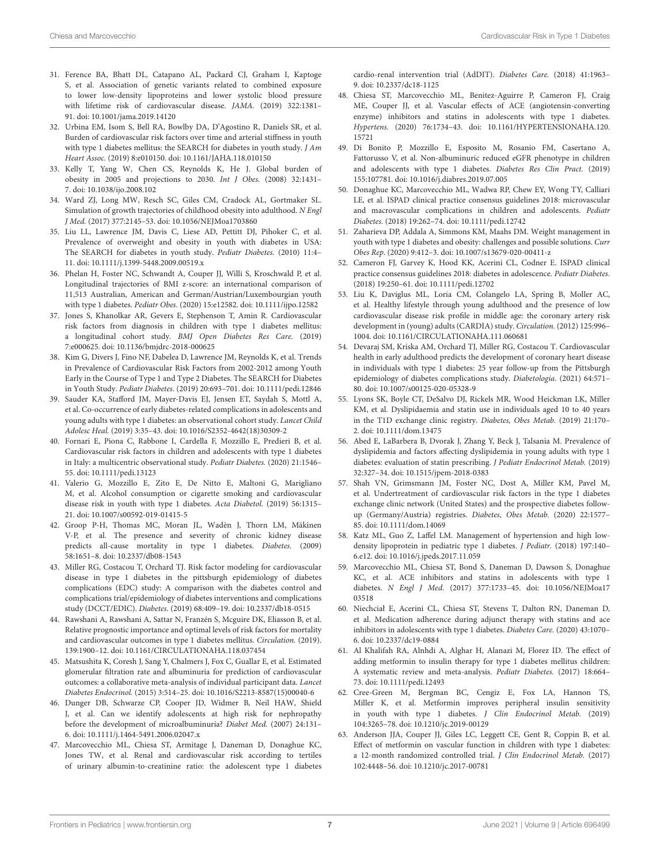- <span id="page-6-0"></span>31. Ference BA, Bhatt DL, Catapano AL, Packard CJ, Graham I, Kaptoge S, et al. Association of genetic variants related to combined exposure to lower low-density lipoproteins and lower systolic blood pressure with lifetime risk of cardiovascular disease. JAMA. (2019) 322:1381– 91. doi: [10.1001/jama.2019.14120](https://doi.org/10.1001/jama.2019.14120)
- <span id="page-6-1"></span>32. Urbina EM, Isom S, Bell RA, Bowlby DA, D'Agostino R, Daniels SR, et al. Burden of cardiovascular risk factors over time and arterial stiffness in youth with type 1 diabetes mellitus: the SEARCH for diabetes in youth study. *J Am* Heart Assoc. (2019) 8:e010150. doi: [10.1161/JAHA.118.010150](https://doi.org/10.1161/JAHA.118.010150)
- <span id="page-6-2"></span>33. Kelly T, Yang W, Chen CS, Reynolds K, He J. Global burden of obesity in 2005 and projections to 2030. Int J Obes. (2008) 32:1431– 7. doi: [10.1038/ijo.2008.102](https://doi.org/10.1038/ijo.2008.102)
- <span id="page-6-3"></span>34. Ward ZJ, Long MW, Resch SC, Giles CM, Cradock AL, Gortmaker SL. Simulation of growth trajectories of childhood obesity into adulthood. N Engl J Med. (2017) 377:2145–53. doi: [10.1056/NEJMoa1703860](https://doi.org/10.1056/NEJMoa1703860)
- <span id="page-6-4"></span>35. Liu LL, Lawrence JM, Davis C, Liese AD, Pettitt DJ, Pihoker C, et al. Prevalence of overweight and obesity in youth with diabetes in USA: The SEARCH for diabetes in youth study. Pediatr Diabetes. (2010) 11:4– 11. doi: [10.1111/j.1399-5448.2009.00519.x](https://doi.org/10.1111/j.1399-5448.2009.00519.x)
- <span id="page-6-5"></span>36. Phelan H, Foster NC, Schwandt A, Couper JJ, Willi S, Kroschwald P, et al. Longitudinal trajectories of BMI z-score: an international comparison of 11,513 Australian, American and German/Austrian/Luxembourgian youth with type 1 diabetes. Pediatr Obes. (2020) 15:e12582. doi: [10.1111/ijpo.12582](https://doi.org/10.1111/ijpo.12582)
- <span id="page-6-6"></span>37. Jones S, Khanolkar AR, Gevers E, Stephenson T, Amin R. Cardiovascular risk factors from diagnosis in children with type 1 diabetes mellitus: a longitudinal cohort study. BMJ Open Diabetes Res Care. (2019) 7:e000625. doi: [10.1136/bmjdrc-2018-000625](https://doi.org/10.1136/bmjdrc-2018-000625)
- <span id="page-6-7"></span>38. Kim G, Divers J, Fino NF, Dabelea D, Lawrence JM, Reynolds K, et al. Trends in Prevalence of Cardiovascular Risk Factors from 2002-2012 among Youth Early in the Course of Type 1 and Type 2 Diabetes. The SEARCH for Diabetes in Youth Study. Pediatr Diabetes. (2019) 20:693–701. doi: [10.1111/pedi.12846](https://doi.org/10.1111/pedi.12846)
- <span id="page-6-8"></span>39. Sauder KA, Stafford JM, Mayer-Davis EJ, Jensen ET, Saydah S, Mottl A, et al. Co-occurrence of early diabetes-related complications in adolescents and young adults with type 1 diabetes: an observational cohort study. Lancet Child Adolesc Heal. (2019) 3:35–43. doi: [10.1016/S2352-4642\(18\)30309-2](https://doi.org/10.1016/S2352-4642(18)30309-2)
- <span id="page-6-9"></span>40. Fornari E, Piona C, Rabbone I, Cardella F, Mozzillo E, Predieri B, et al. Cardiovascular risk factors in children and adolescents with type 1 diabetes in Italy: a multicentric observational study. Pediatr Diabetes. (2020) 21:1546– 55. doi: [10.1111/pedi.13123](https://doi.org/10.1111/pedi.13123)
- <span id="page-6-10"></span>41. Valerio G, Mozzillo E, Zito E, De Nitto E, Maltoni G, Marigliano M, et al. Alcohol consumption or cigarette smoking and cardiovascular disease risk in youth with type 1 diabetes. Acta Diabetol. (2019) 56:1315– 21. doi: [10.1007/s00592-019-01415-5](https://doi.org/10.1007/s00592-019-01415-5)
- <span id="page-6-11"></span>42. Groop P-H, Thomas MC, Moran JL, Wadèn J, Thorn LM, Mäkinen V-P, et al. The presence and severity of chronic kidney disease predicts all-cause mortality in type 1 diabetes. Diabetes. (2009) 58:1651–8. doi: [10.2337/db08-1543](https://doi.org/10.2337/db08-1543)
- <span id="page-6-12"></span>43. Miller RG, Costacou T, Orchard TJ. Risk factor modeling for cardiovascular disease in type 1 diabetes in the pittsburgh epidemiology of diabetes complications (EDC) study: A comparison with the diabetes control and complications trial/epidemiology of diabetes interventions and complications study (DCCT/EDIC). Diabetes. (2019) 68:409–19. doi: [10.2337/db18-0515](https://doi.org/10.2337/db18-0515)
- <span id="page-6-13"></span>44. Rawshani A, Rawshani A, Sattar N, Franzén S, Mcguire DK, Eliasson B, et al. Relative prognostic importance and optimal levels of risk factors for mortality and cardiovascular outcomes in type 1 diabetes mellitus. Circulation. (2019). 139:1900–12. doi: [10.1161/CIRCULATIONAHA.118.037454](https://doi.org/10.1161/CIRCULATIONAHA.118.037454)
- <span id="page-6-14"></span>45. Matsushita K, Coresh J, Sang Y, Chalmers J, Fox C, Guallar E, et al. Estimated glomerular filtration rate and albuminuria for prediction of cardiovascular outcomes: a collaborative meta-analysis of individual participant data. Lancet Diabetes Endocrinol. (2015) 3:514–25. doi: [10.1016/S2213-8587\(15\)00040-6](https://doi.org/10.1016/S2213-8587(15)00040-6)
- <span id="page-6-15"></span>46. Dunger DB, Schwarze CP, Cooper JD, Widmer B, Neil HAW, Shield J, et al. Can we identify adolescents at high risk for nephropathy before the development of microalbuminuria? Diabet Med. (2007) 24:131– 6. doi: [10.1111/j.1464-5491.2006.02047.x](https://doi.org/10.1111/j.1464-5491.2006.02047.x)
- <span id="page-6-16"></span>47. Marcovecchio ML, Chiesa ST, Armitage J, Daneman D, Donaghue KC, Jones TW, et al. Renal and cardiovascular risk according to tertiles of urinary albumin-to-creatinine ratio: the adolescent type 1 diabetes

cardio-renal intervention trial (AdDIT). Diabetes Care. (2018) 41:1963– 9. doi: [10.2337/dc18-1125](https://doi.org/10.2337/dc18-1125)

- <span id="page-6-17"></span>48. Chiesa ST, Marcovecchio ML, Benitez-Aguirre P, Cameron FJ, Craig ME, Couper JJ, et al. Vascular effects of ACE (angiotensin-converting enzyme) inhibitors and statins in adolescents with type 1 diabetes. Hypertens. [\(2020\) 76:1734–43. doi: 10.1161/HYPERTENSIONAHA.120.](https://doi.org/10.1161/HYPERTENSIONAHA.120.15721) 15721
- <span id="page-6-18"></span>49. Di Bonito P, Mozzillo E, Esposito M, Rosanio FM, Casertano A, Fattorusso V, et al. Non-albuminuric reduced eGFR phenotype in children and adolescents with type 1 diabetes. Diabetes Res Clin Pract. (2019) 155:107781. doi: [10.1016/j.diabres.2019.07.005](https://doi.org/10.1016/j.diabres.2019.07.005)
- <span id="page-6-19"></span>50. Donaghue KC, Marcovecchio ML, Wadwa RP, Chew EY, Wong TY, Calliari LE, et al. ISPAD clinical practice consensus guidelines 2018: microvascular and macrovascular complications in children and adolescents. Pediatr Diabetes. (2018) 19:262–74. doi: [10.1111/pedi.12742](https://doi.org/10.1111/pedi.12742)
- <span id="page-6-20"></span>51. Zaharieva DP, Addala A, Simmons KM, Maahs DM. Weight management in youth with type 1 diabetes and obesity: challenges and possible solutions. Curr Obes Rep. (2020) 9:412–3. doi: [10.1007/s13679-020-00411-z](https://doi.org/10.1007/s13679-020-00411-z)
- <span id="page-6-21"></span>52. Cameron FJ, Garvey K, Hood KK, Acerini CL, Codner E. ISPAD clinical practice consensus guidelines 2018: diabetes in adolescence. Pediatr Diabetes. (2018) 19:250–61. doi: [10.1111/pedi.12702](https://doi.org/10.1111/pedi.12702)
- <span id="page-6-22"></span>53. Liu K, Daviglus ML, Loria CM, Colangelo LA, Spring B, Moller AC, et al. Healthy lifestyle through young adulthood and the presence of low cardiovascular disease risk profile in middle age: the coronary artery risk development in (young) adults (CARDIA) study. Circulation. (2012) 125:996– 1004. doi: [10.1161/CIRCULATIONAHA.111.060681](https://doi.org/10.1161/CIRCULATIONAHA.111.060681)
- <span id="page-6-23"></span>54. Devaraj SM, Kriska AM, Orchard TJ, Miller RG, Costacou T. Cardiovascular health in early adulthood predicts the development of coronary heart disease in individuals with type 1 diabetes: 25 year follow-up from the Pittsburgh epidemiology of diabetes complications study. Diabetologia. (2021) 64:571– 80. doi: [10.1007/s00125-020-05328-9](https://doi.org/10.1007/s00125-020-05328-9)
- <span id="page-6-24"></span>55. Lyons SK, Boyle CT, DeSalvo DJ, Rickels MR, Wood Heickman LK, Miller KM, et al. Dyslipidaemia and statin use in individuals aged 10 to 40 years in the T1D exchange clinic registry. Diabetes, Obes Metab. (2019) 21:170– 2. doi: [10.1111/dom.13475](https://doi.org/10.1111/dom.13475)
- <span id="page-6-25"></span>56. Abed E, LaBarbera B, Dvorak J, Zhang Y, Beck J, Talsania M. Prevalence of dyslipidemia and factors affecting dyslipidemia in young adults with type 1 diabetes: evaluation of statin prescribing. J Pediatr Endocrinol Metab. (2019) 32:327–34. doi: [10.1515/jpem-2018-0383](https://doi.org/10.1515/jpem-2018-0383)
- <span id="page-6-26"></span>57. Shah VN, Grimsmann JM, Foster NC, Dost A, Miller KM, Pavel M, et al. Undertreatment of cardiovascular risk factors in the type 1 diabetes exchange clinic network (United States) and the prospective diabetes followup (Germany/Austria) registries. Diabetes, Obes Metab. (2020) 22:1577– 85. doi: [10.1111/dom.14069](https://doi.org/10.1111/dom.14069)
- <span id="page-6-27"></span>58. Katz ML, Guo Z, Laffel LM. Management of hypertension and high lowdensity lipoprotein in pediatric type 1 diabetes. J Pediatr. (2018) 197:140– 6.e12. doi: [10.1016/j.jpeds.2017.11.059](https://doi.org/10.1016/j.jpeds.2017.11.059)
- <span id="page-6-28"></span>59. Marcovecchio ML, Chiesa ST, Bond S, Daneman D, Dawson S, Donaghue KC, et al. ACE inhibitors and statins in adolescents with type 1 diabetes. N Engl J Med. [\(2017\) 377:1733–45. doi: 10.1056/NEJMoa17](https://doi.org/10.1056/NEJMoa1703518) 03518
- <span id="page-6-29"></span>60. Niechciał E, Acerini CL, Chiesa ST, Stevens T, Dalton RN, Daneman D, et al. Medication adherence during adjunct therapy with statins and ace inhibitors in adolescents with type 1 diabetes. Diabetes Care. (2020) 43:1070– 6. doi: [10.2337/dc19-0884](https://doi.org/10.2337/dc19-0884)
- <span id="page-6-30"></span>61. Al Khalifah RA, Alnhdi A, Alghar H, Alanazi M, Florez ID. The effect of adding metformin to insulin therapy for type 1 diabetes mellitus children: A systematic review and meta-analysis. Pediatr Diabetes. (2017) 18:664– 73. doi: [10.1111/pedi.12493](https://doi.org/10.1111/pedi.12493)
- <span id="page-6-31"></span>62. Cree-Green M, Bergman BC, Cengiz E, Fox LA, Hannon TS, Miller K, et al. Metformin improves peripheral insulin sensitivity in youth with type 1 diabetes. J Clin Endocrinol Metab. (2019) 104:3265–78. doi: [10.1210/jc.2019-00129](https://doi.org/10.1210/jc.2019-00129)
- <span id="page-6-32"></span>63. Anderson JJA, Couper JJ, Giles LC, Leggett CE, Gent R, Coppin B, et al. Effect of metformin on vascular function in children with type 1 diabetes: a 12-month randomized controlled trial. J Clin Endocrinol Metab. (2017) 102:4448–56. doi: [10.1210/jc.2017-00781](https://doi.org/10.1210/jc.2017-00781)